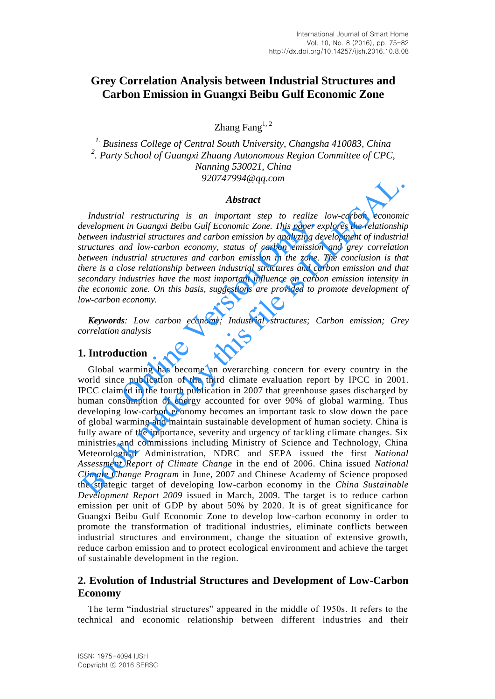# **Grey Correlation Analysis between Industrial Structures and Carbon Emission in Guangxi Beibu Gulf Economic Zone**

Zhang Fang $^{1, 2}$ 

*1. Business College of Central South University, Changsha 410083, China 2 . Party School of Guangxi Zhuang Autonomous Region Committee of CPC, Nanning 530021, China 920747994@qq.com*

#### *Abstract*

*Industrial restructuring is an important step to realize low-carbon economic development in Guangxi Beibu Gulf Economic Zone. This paper explores the relationship between industrial structures and carbon emission by analyzing development of industrial structures and low-carbon economy, status of carbon emission and grey correlation between industrial structures and carbon emission in the zone. The conclusion is that there is a close relationship between industrial structures and carbon emission and that secondary industries have the most important influence on carbon emission intensity in the economic zone. On this basis, suggestions are provided to promote development of low-carbon economy.*  in the in Guangxi Beibu Gulf Economic Zone. This paper ex-<br>
dustrial structures and carbon emission by analyzing de<br>
dustrial structures and carbon emission by analyzing de<br>
and low-carbon economy, status of carbon emissio

*Keywords: Low carbon economy; Industrial structures; Carbon emission; Grey correlation analysis* 

## **1. Introduction**

Global warming has become an overarching concern for every country in the world since publication of the third climate evaluation report by IPCC in 2001. IPCC claimed in the fourth publication in 2007 that greenhouse gases discharged by human consumption of energy accounted for over 90% of global warming. Thus developing low-carbon economy becomes an important task to slow down the pace of global warming and maintain sustainable development of human society. China is fully aware of the importance, severity and urgency of tackling climate changes. Six ministries and commissions including Ministry of Science and Technology, China Meteorological Administration, NDRC and SEPA issued the first *National Assessment Report of Climate Change* in the end of 2006. China issued *National Climate Change Program* in June, 2007 and Chinese Academy of Science proposed the strategic target of developing low-carbon economy in the *China Sustainable Development Report 2009* issued in March, 2009. The target is to reduce carbon emission per unit of GDP by about 50% by 2020. It is of great significance for Guangxi Beibu Gulf Economic Zone to develop low-carbon economy in order to promote the transformation of traditional industries, eliminate conflicts between industrial structures and environment, change the situation of extensive growth, reduce carbon emission and to protect ecological environment and achieve the target of sustainable development in the region. 920/4/994@qq.com<br> **Abstract**<br> **Abstract**<br> **Abstract**<br> *Abstract*<br> *Abstract*<br> *Bevelopment in Guangxi Beibu Gulf Economic Zone. This paper explores the relationship<br>
retructures and corroln economic, status of carbon emis* 

# **2. Evolution of Industrial Structures and Development of Low-Carbon Economy**

The term "industrial structures" appeared in the middle of 1950s. It refers to the technical and economic relationship between different industries and their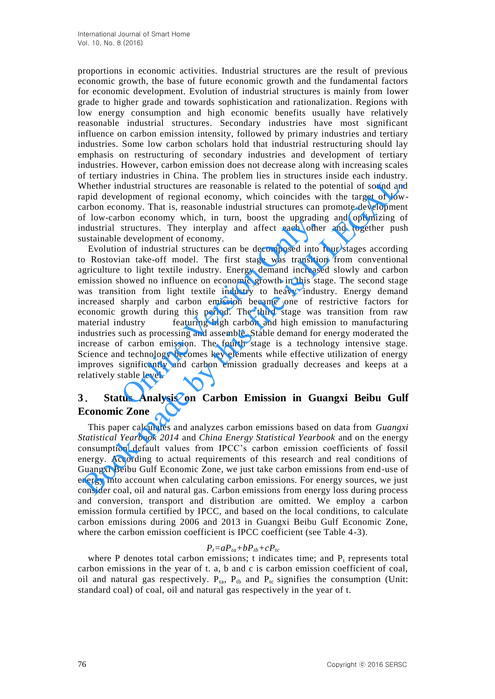proportions in economic activities. Industrial structures are the result of previous economic growth, the base of future economic growth and the fundamental factors for economic development. Evolution of industrial structures is mainly from lower grade to higher grade and towards sophistication and rationalization. Regions with low energy consumption and high economic benefits usually have relatively reasonable industrial structures. Secondary industries have most significant influence on carbon emission intensity, followed by primary industries and tertiary industries. Some low carbon scholars hold that industrial restructuring should lay emphasis on restructuring of secondary industries and development of tertiary industries. However, carbon emission does not decrease along with increasing scales of tertiary industries in China. The problem lies in structures inside each industry. Whether industrial structures are reasonable is related to the potential of sound and rapid development of regional economy, which coincides with the target of lowcarbon economy. That is, reasonable industrial structures can promote development of low-carbon economy which, in turn, boost the upgrading and optimizing of industrial structures. They interplay and affect each other and together push sustainable development of economy.

Evolution of industrial structures can be decomposed into four stages according to Rostovian take-off model. The first stage was transition from conventional agriculture to light textile industry. Energy demand increased slowly and carbon emission showed no influence on economic growth in this stage. The second stage was transition from light textile industry to heavy industry. Energy demand increased sharply and carbon emission became one of restrictive factors for economic growth during this period. The third stage was transition from raw material industry featuring high carbon and high emission to manufacturing industries such as processing and assemble. Stable demand for energy moderated the increase of carbon emission. The fourth stage is a technology intensive stage. Science and technology becomes key elements while effective utilization of energy improves significantly and carbon emission gradually decreases and keeps at a relatively stable level. bon conomy which, in tant, boost the upgradint structures. They interplay and affect each othe development of economy.<br>
an of industrial structures can be decomposed into an take-off model. The first stage was transitio to Treethous material structures are considered in the problem and state and state and streated to the potential of sound duration material structures are reasonable is related to the potential of sound duration and developme

# **3**. **Status Analysis on Carbon Emission in Guangxi Beibu Gulf Economic Zone**

This paper calculates and analyzes carbon emissions based on data from *Guangxi Statistical Yearbook 2014* and *China Energy Statistical Yearbook* and on the energy consumption default values from IPCC's carbon emission coefficients of fossil energy. According to actual requirements of this research and real conditions of Guangxi Beibu Gulf Economic Zone, we just take carbon emissions from end-use of energy into account when calculating carbon emissions. For energy sources, we just consider coal, oil and natural gas. Carbon emissions from energy loss during process and conversion, transport and distribution are omitted. We employ a carbon emission formula certified by IPCC, and based on the local conditions, to calculate carbon emissions during 2006 and 2013 in Guangxi Beibu Gulf Economic Zone, where the carbon emission coefficient is IPCC coefficient (see Table 4-3).

# $P_t = aP_{ta} + bP_{tb} + cP_{tc}$

where P denotes total carbon emissions;  $t$  indicates time; and  $P_t$  represents total carbon emissions in the year of t. a, b and c is carbon emission coefficient of coal, oil and natural gas respectively.  $P_{ta}$ ,  $P_{tb}$  and  $P_{tc}$  signifies the consumption (Unit: standard coal) of coal, oil and natural gas respectively in the year of t.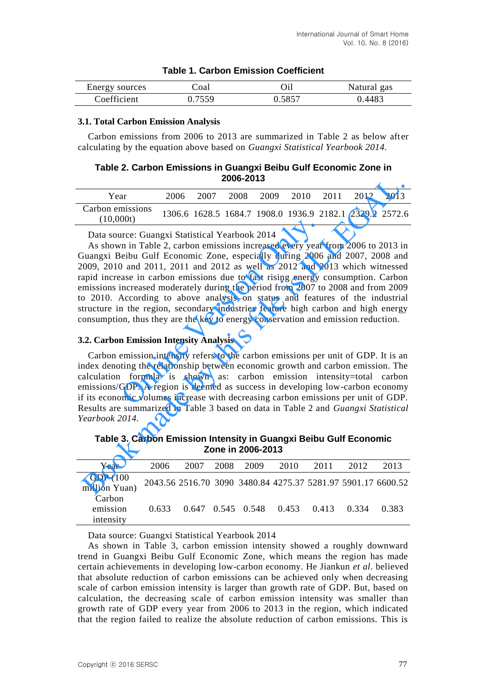| Energy sources | Coal   |       | Natural gas |
|----------------|--------|-------|-------------|
| Coefficient    | በ 7559 | .5857 | .4483       |

## **Table 1. Carbon Emission Coefficient**

## **3.1. Total Carbon Emission Analysis**

Carbon emissions from 2006 to 2013 are summarized in Table 2 as below after calculating by the equation above based on *Guangxi Statistical Yearbook 2014.*

## **Table 2. Carbon Emissions in Guangxi Beibu Gulf Economic Zone in 2006-2013**

| Year                          | 2006 | 2007 | 2008 | 2009 2010 | 2011 | 2012 | 2013                                                    |
|-------------------------------|------|------|------|-----------|------|------|---------------------------------------------------------|
| Carbon emissions<br>(10,000t) |      |      |      |           |      |      | 1306.6 1628.5 1684.7 1908.0 1936.9 2182.1 2329.2 2572.6 |

Data source: Guangxi Statistical Yearbook 2014

As shown in Table 2, carbon emissions increased every year from 2006 to 2013 in Guangxi Beibu Gulf Economic Zone, especially during 2006 and 2007, 2008 and 2009, 2010 and 2011, 2011 and 2012 as well as 2012 and 2013 which witnessed rapid increase in carbon emissions due to fast rising energy consumption. Carbon emissions increased moderately during the period from 2007 to 2008 and from 2009 to 2010. According to above analysis on status and features of the industrial structure in the region, secondary industries feature high carbon and high energy consumption, thus they are the key to energy conservation and emission reduction. **OODET STATE SETT CONTITN CONTINUM CONTIC STATE STATE STATE STATE STATE STATE STATE STATE STATE STATE STATE STATE STATE STATE STATE STATE STATE STATE STATE STATE STATE STATE STATE STATE STATE STATE STATE STATE STATE STATE Example 12006 -2013**<br> **Example 12006 -2007** 2008 2009 2010 2011 2012 2013<br> **Carbon emissions** 1306.6 1628.5 1684.7 1908.0 1936.9 2182.1 2329.2 2572.0<br> **Data source:** Guangxi Statistical Yearbook 2014<br>
As shown in Table 2

## **3.2. Carbon Emission Intensity Analysis**

Carbon emission intensity refers to the carbon emissions per unit of GDP. It is an index denoting the relationship between economic growth and carbon emission. The calculation formula is shown as: carbon emission intensity=total carbon emissions/GDP. A region is deemed as success in developing low-carbon economy if its economic volumes increase with decreasing carbon emissions per unit of GDP. Results are summarized in Table 3 based on data in Table 2 and *Guangxi Statistical Yearbook 2014.*

**Table 3. Carbon Emission Intensity in Guangxi Beibu Gulf Economic Zone in 2006-2013**

| Year                            | 2006  | 2007 | 2008 2009                               | 2010 | 2011 | 2012  | 2013                                                         |
|---------------------------------|-------|------|-----------------------------------------|------|------|-------|--------------------------------------------------------------|
| GDP (100<br>million Yuan)       |       |      |                                         |      |      |       | 2043.56 2516.70 3090 3480.84 4275.37 5281.97 5901.17 6600.52 |
| Carbon<br>emission<br>intensity | 0.633 |      | $0.647$ $0.545$ $0.548$ $0.453$ $0.413$ |      |      | 0.334 | 0.383                                                        |

Data source: Guangxi Statistical Yearbook 2014

As shown in Table 3, carbon emission intensity showed a roughly downward trend in Guangxi Beibu Gulf Economic Zone, which means the region has made certain achievements in developing low-carbon economy. He Jiankun *et al*. believed that absolute reduction of carbon emissions can be achieved only when decreasing scale of carbon emission intensity is larger than growth rate of GDP. But, based on calculation, the decreasing scale of carbon emission intensity was smaller than growth rate of GDP every year from 2006 to 2013 in the region, which indicated that the region failed to realize the absolute reduction of carbon emissions. This is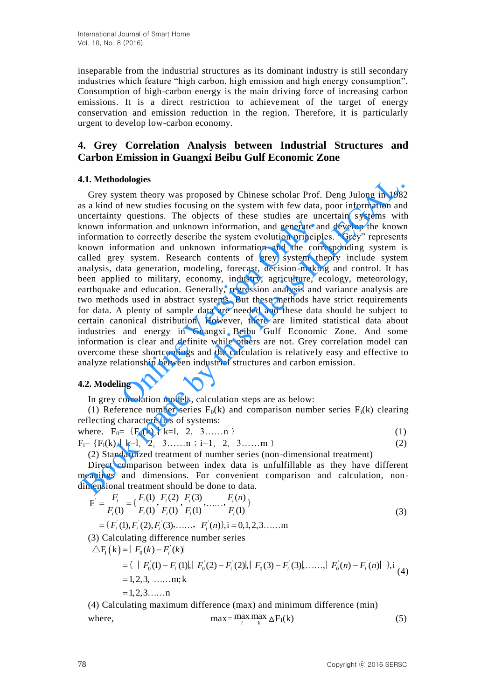inseparable from the industrial structures as its dominant industry is still secondary industries which feature "high carbon, high emission and high energy consumption". Consumption of high-carbon energy is the main driving force of increasing carbon emissions. It is a direct restriction to achievement of the target of energy conservation and emission reduction in the region. Therefore, it is particularly urgent to develop low-carbon economy.

# **4. Grey Correlation Analysis between Industrial Structures and Carbon Emission in Guangxi Beibu Gulf Economic Zone**

# **4.1. Methodologies**

Grey system theory was proposed by Chinese scholar Prof. Deng Julong in 1982 as a kind of new studies focusing on the system with few data, poor information and uncertainty questions. The objects of these studies are uncertain systems with known information and unknown information, and generate and develop the known information to correctly describe the system evolution principles. "Grey" represents known information and unknown information and the corresponding system is called grey system. Research contents of grey system theory include system analysis, data generation, modeling, forecast, decision-making and control. It has been applied to military, economy, industry, agriculture, ecology, meteorology, earthquake and education. Generally, regression analysis and variance analysis are two methods used in abstract systems. But these methods have strict requirements for data. A plenty of sample data are needed and these data should be subject to certain canonical distribution. However, there are limited statistical data about industries and energy in Guangxi Beibu Gulf Economic Zone. And some information is clear and definite while others are not. Grey correlation model can overcome these shortcomings and the calculation is relatively easy and effective to analyze relationship between industrial structures and carbon emission. Transion and unknown information, and generate are<br>n to correctly describe the system evolution principlormation and unknown information and the correctly describe the system evolution principlormation and unknown informat **L1. Methodologies**<br>
Grey system theory was proposed by Chinese scholar Prof. Deng Julong in 1983<br>
Grey system theory was proposed by Chinese scholar Prof. Deng Julong in 1983<br>
is a kind of new studies focusing on the sys

# **4.2. Modeling**

In grey correlation models, calculation steps are as below:

(1) Reference number series  $F_0(k)$  and comparison number series  $F_i(k)$  clearing reflecting characteristics of systems:

where,  $F_0 = \{F_0(k) \mid k=1, 2, 3, \ldots, n\}$  (1)

 $F_i = \{F_i(k) \mid k=1, 2, 3, \ldots, n; i=1, 2, 3, \ldots, m\}$  (2)

(2) Standardized treatment of number series (non-dimensional treatment)

Direct comparison between index data is unfulfillable as they have different meanings and dimensions. For convenient comparison and calculation, nondimensional treatment should be done to data.

Examples and dimensions. For convenient comparison and calculation, non-  
nensional treatment should be done to data.

\n
$$
F_i^{\dagger} = \frac{F_i}{F_i(1)} = \{ \frac{F_i(1)}{F_i(1)} , \frac{F_i(2)}{F_i(1)} , \frac{F_i(3)}{F_i(1)} , \dots, \frac{F_i(n)}{F_i(1)} \}
$$
\n
$$
= \{ F_i^{\dagger}(1), F_i^{\dagger}(2), F_i^{\dagger}(3), \dots, F_i^{\dagger}(n) \}, i = 0, 1, 2, 3, \dots, m
$$
\n(3) Calculating difference number series

\n
$$
\Delta F_i(k) = | F_0^{\dagger}(k) - F_i^{\dagger}(k) |
$$
\n(4) Find the following expression:

\n
$$
F_i^{\dagger}(k) = | F_0^{\dagger}(k) - F_i^{\dagger}(k) |
$$
\n(5) Find the following expression:

\n
$$
F_i^{\dagger}(k) = | F_0^{\dagger}(k) - F_i^{\dagger}(k) |
$$
\n(6) Find the following expression:

\n
$$
F_i^{\dagger}(k) = | F_0^{\dagger}(k) - F_i^{\dagger}(k) |
$$
\n(7) Find the following expression:

\n
$$
F_i^{\dagger}(k) = | F_0^{\dagger}(k) - F_i^{\dagger}(k) |
$$
\n(8) Find the following expression:

\n
$$
F_i^{\dagger}(k) = | F_0^{\dagger}(k) - F_i^{\dagger}(k) |
$$
\n(9) Find the following expression:

\n
$$
F_i^{\dagger}(k) = | F_0^{\dagger}(k) - F_i^{\dagger}(k) |
$$
\n(1) Find the following expression:

\n
$$
F_i^{\dagger}(k) = | F_0^{\dagger}(k) - F_i^{\dagger}(k) |
$$
\n(1) Find the following expression:

\n
$$
F_i^{\dagger}(k) = | F_0^{\dagger}(k) - F_i^{\dagger}(k) |
$$
\n(2) Find the following expression:

\n
$$
F_i^{\dagger}(k) = | F_0^{\dagger}(k) - F_i^{\dagger}(k) |
$$
\n(3) Find the following expression:

\n
$$
F_i^{\dagger}(k) = | F_0^
$$

(3) Calculating difference number series

*i*

culating difference number series

\n
$$
= |F_0(k) - F_i(k)|
$$
\n
$$
= \{ |F_0(1) - F_i(1)|, |F_0(2) - F_i(2)|, |F_0(3) - F_i(3)|, \dots, |F_0(n) - F_i(n)| \}, i \ge 1, 2, 3, \dots, m; k
$$
\n
$$
= 1, 2, 3, \dots, n
$$
\nsubting maximum difference (max) and minimum difference (min)

(4) Calculating maximum difference (max) and minimum difference (min) where,  $\max_{i} \max_{k} \max_{k} \Delta F_{I}(k)$  (5)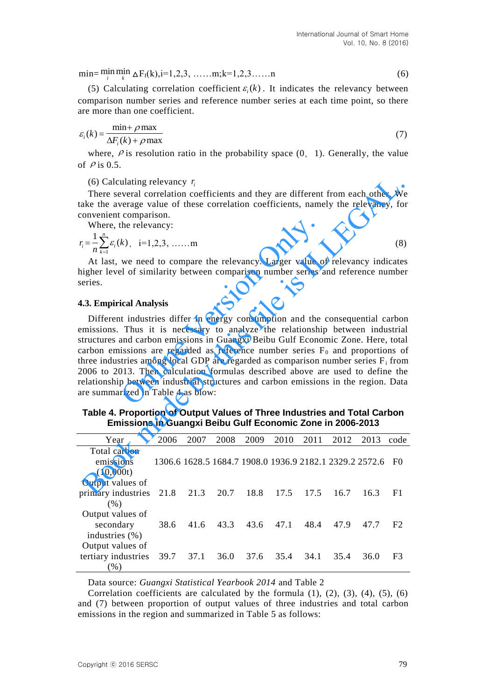$\min = \min_{i} \min_{k} \Delta F_{I}(k), i=1,2,3,...,m; k=1,2,3,...,n$  (6)

(5) Calculating correlation coefficient  $\varepsilon_i(k)$ . It indicates the relevancy between comparison number series and reference number series at each time point, so there are more than one coefficient.

$$
\varepsilon_i(k) = \frac{\min + \rho \max}{\Delta F_i(k) + \rho \max} \tag{7}
$$

where,  $\rho$  is resolution ratio in the probability space  $(0, 1)$ . Generally, the value of  $\rho$  is 0.5.

### (6) Calculating relevancy  $r_i$

There several correlation coefficients and they are different from each other. We take the average value of these correlation coefficients, namely the relevancy, for convenient comparison.

Where, the relevancy:

$$
r_i = \frac{1}{n} \sum_{k=1}^{n} \varepsilon_i(k), \quad i = 1, 2, 3, \dots, m
$$
 (8)

At last, we need to compare the relevancy. Larger value of relevancy indicates higher level of similarity between comparison number series and reference number series.

#### **4.3. Empirical Analysis**

Different industries differ in energy consumption and the consequential carbon emissions. Thus it is necessary to analyze the relationship between industrial structures and carbon emissions in Guangxi Beibu Gulf Economic Zone. Here, total carbon emissions are regarded as reference number series  $F_0$  and proportions of three industries among local GDP are regarded as comparison number series  $F_i$  from 2006 to 2013. Then calculation formulas described above are used to define the relationship between industrial structures and carbon emissions in the region. Data are summarized in Table 4 as blow: the relevancy:<br>  $k$ ,  $i=1,2,3,......$  m<br>
we need to compare the relevancy. Larger value c<br>
el of similarity between comparison number series a<br>
ical Analysis<br>
t industries differ in energy consumption and the<br>
Thus it is neces (6) Calculating relevancy  $r_i$ <br>
There several correlation coefficients and they are different from each other. We<br>
are the relevancy, for a relevancy:<br>
where, the relevancy:<br>  $r_i = \frac{1}{n} \sum_{i=1}^{n} c_i(k)$ , i=1,2,3, ...... m<br>

**Table 4. Proportion of Output Values of Three Industries and Total Carbon Emissions in Guangxi Beibu Gulf Economic Zone in 2006-2013**

| Year                            | 2006      | 2007 | 2008 | 2009 | 2010 | 2011 | 2012 | 2013                                                    | code           |
|---------------------------------|-----------|------|------|------|------|------|------|---------------------------------------------------------|----------------|
| Total carbon<br>emissions       |           |      |      |      |      |      |      | 1306.6 1628.5 1684.7 1908.0 1936.9 2182.1 2329.2 2572.6 | - FO           |
| (10,000t)                       |           |      |      |      |      |      |      |                                                         |                |
| Output values of                |           |      |      |      |      |      |      |                                                         |                |
| primary industries<br>(% )      | 21.8 21.3 |      | 20.7 | 18.8 | 17.5 | 17.5 | 16.7 | 16.3                                                    | F1             |
| Output values of                |           |      |      |      |      |      |      |                                                         |                |
| secondary<br>industries $(\% )$ | 38.6      | 41.6 | 43.3 | 43.6 | 47.1 | 48.4 | 47.9 | 47.7                                                    | F <sub>2</sub> |
| Output values of                |           |      |      |      |      |      |      |                                                         |                |
| tertiary industries             | 39.7      | 37.1 | 36.0 | 37.6 | 35.4 | 34.1 | 35.4 | 36.0                                                    | F <sub>3</sub> |
| (9)                             |           |      |      |      |      |      |      |                                                         |                |

Data source: *Guangxi Statistical Yearbook 2014* and Table 2

Correlation coefficients are calculated by the formula  $(1)$ ,  $(2)$ ,  $(3)$ ,  $(4)$ ,  $(5)$ ,  $(6)$ and (7) between proportion of output values of three industries and total carbon emissions in the region and summarized in Table 5 as follows: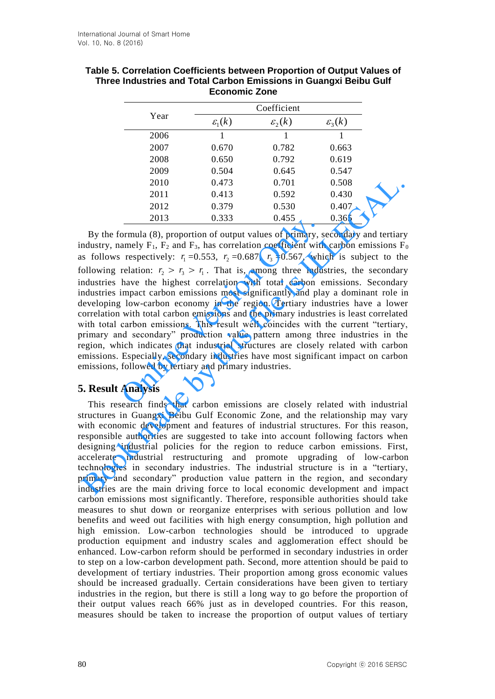|      | Coefficient          |                      |                      |  |  |  |  |
|------|----------------------|----------------------|----------------------|--|--|--|--|
| Year | $\varepsilon_{i}(k)$ | $\varepsilon_{2}(k)$ | $\varepsilon_{3}(k)$ |  |  |  |  |
| 2006 |                      | 1                    | 1                    |  |  |  |  |
| 2007 | 0.670                | 0.782                | 0.663                |  |  |  |  |
| 2008 | 0.650                | 0.792                | 0.619                |  |  |  |  |
| 2009 | 0.504                | 0.645                | 0.547                |  |  |  |  |
| 2010 | 0.473                | 0.701                | 0.508                |  |  |  |  |
| 2011 | 0.413                | 0.592                | 0.430                |  |  |  |  |
| 2012 | 0.379                | 0.530                | 0.407                |  |  |  |  |
| 2013 | 0.333                | 0.455                | 0.365                |  |  |  |  |

| Table 5. Correlation Coefficients between Proportion of Output Values of |
|--------------------------------------------------------------------------|
| Three Industries and Total Carbon Emissions in Guangxi Beibu Gulf        |
| <b>Economic Zone</b>                                                     |

By the formula (8), proportion of output values of primary, secondary and tertiary industry, namely  $F_1$ ,  $F_2$  and  $F_3$ , has correlation coefficient with carbon emissions  $F_0$ as follows respectively:  $r_1 = 0.553$ ,  $r_2 = 0.687$ ,  $r_3 = 0.567$ , which is subject to the following relation:  $r_2 > r_3 > r_1$ . That is, among three industries, the secondary industries have the highest correlation with total carbon emissions. Secondary industries impact carbon emissions most significantly and play a dominant role in developing low-carbon economy in the region. Tertiary industries have a lower correlation with total carbon emissions and the primary industries is least correlated with total carbon emissions. This result well coincides with the current "tertiary, primary and secondary" production value pattern among three industries in the region, which indicates that industrial structures are closely related with carbon emissions. Especially, secondary industries have most significant impact on carbon emissions, followed by tertiary and primary industries. **EXECUTE:** 0.333 0.333 0.333 0.333 0.333 0.333 0.333 0.333 0.333 0.333 0.333 0.333 0.333 0.333 0.333 0.333 0.333 0.333 0.333 0.333 0.333 0.333 0.333 0.333 0.333 0.333 0.333 0.333 0.333 0.333 0.333 0.333 0.333 0.433 0.933 Book made by this file is ILLEGAL.

# **5. Result Analysis**

This research finds that carbon emissions are closely related with industrial structures in Guangxi Beibu Gulf Economic Zone, and the relationship may vary with economic development and features of industrial structures. For this reason, responsible authorities are suggested to take into account following factors when designing industrial policies for the region to reduce carbon emissions. First, accelerate industrial restructuring and promote upgrading of low-carbon technologies in secondary industries. The industrial structure is in a "tertiary, primary and secondary" production value pattern in the region, and secondary industries are the main driving force to local economic development and impact carbon emissions most significantly. Therefore, responsible authorities should take measures to shut down or reorganize enterprises with serious pollution and low benefits and weed out facilities with high energy consumption, high pollution and high emission. Low-carbon technologies should be introduced to upgrade production equipment and industry scales and agglomeration effect should be enhanced. Low-carbon reform should be performed in secondary industries in order to step on a low-carbon development path. Second, more attention should be paid to development of tertiary industries. Their proportion among gross economic values should be increased gradually. Certain considerations have been given to tertiary industries in the region, but there is still a long way to go before the proportion of their output values reach 66% just as in developed countries. For this reason, measures should be taken to increase the proportion of output values of tertiary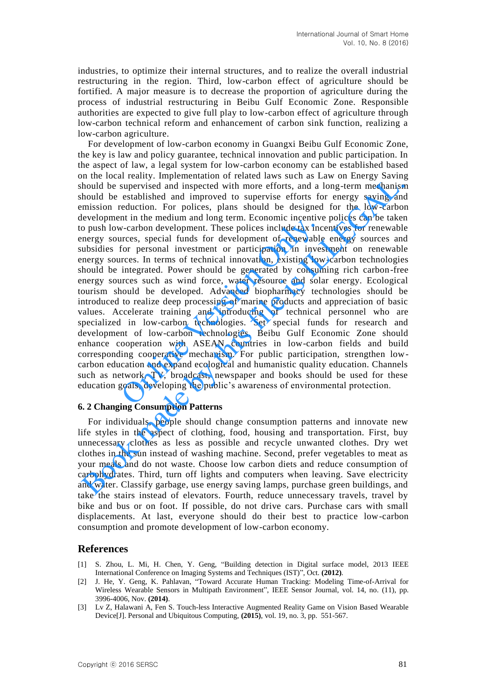industries, to optimize their internal structures, and to realize the overall industrial restructuring in the region. Third, low-carbon effect of agriculture should be fortified. A major measure is to decrease the proportion of agriculture during the process of industrial restructuring in Beibu Gulf Economic Zone. Responsible authorities are expected to give full play to low-carbon effect of agriculture through low-carbon technical reform and enhancement of carbon sink function, realizing a low-carbon agriculture.

For development of low-carbon economy in Guangxi Beibu Gulf Economic Zone, the key is law and policy guarantee, technical innovation and public participation. In the aspect of law, a legal system for low-carbon economy can be established based on the local reality. Implementation of related laws such as Law on Energy Saving should be supervised and inspected with more efforts, and a long-term mechanism should be established and improved to supervise efforts for energy saving and emission reduction. For polices, plans should be designed for the low-carbon development in the medium and long term. Economic incentive polices can be taken to push low-carbon development. These polices include tax incentives for renewable energy sources, special funds for development of renewable energy sources and subsidies for personal investment or participation in investment on renewable energy sources. In terms of technical innovation, existing low-carbon technologies should be integrated. Power should be generated by consuming rich carbon-free energy sources such as wind force, water resource and solar energy. Ecological tourism should be developed. Advanced biopharmacy technologies should be introduced to realize deep processing of marine products and appreciation of basic values. Accelerate training and introducing of technical personnel who are specialized in low-carbon technologies. Set special funds for research and development of low-carbon technologies. Beibu Gulf Economic Zone should enhance cooperation with ASEAN countries in low-carbon fields and build corresponding cooperative mechanism. For public participation, strengthen lowcarbon education and expand ecological and humanistic quality education. Channels such as network, TV, broadcast, newspaper and books should be used for these education goals, developing the public's awareness of environmental protection. In the metalum and long crim. Economic incentive<br>V-carbon development. These polices include tax inc<br>trices, special funds for development of renewable<br>for personal investment or participation in inves<br>rces. In terms of te In the bear beam, in Implementation of beat as a server as such as a server of the statistical and inperced on the statistical and inperced by the mechanism mission reduction. For polices, plans should be eigsiged for the

#### **6. 2 Changing Consumption Patterns**

For individuals, people should change consumption patterns and innovate new life styles in the aspect of clothing, food, housing and transportation. First, buy unnecessary clothes as less as possible and recycle unwanted clothes. Dry wet clothes in the sun instead of washing machine. Second, prefer vegetables to meat as your meals and do not waste. Choose low carbon diets and reduce consumption of carbohydrates. Third, turn off lights and computers when leaving. Save electricity and water. Classify garbage, use energy saving lamps, purchase green buildings, and take the stairs instead of elevators. Fourth, reduce unnecessary travels, travel by bike and bus or on foot. If possible, do not drive cars. Purchase cars with small displacements. At last, everyone should do their best to practice low-carbon consumption and promote development of low-carbon economy.

### **References**

- [1] S. Zhou, L. Mi, H. Chen, Y. Geng, "Building detection in Digital surface model, 2013 IEEE International Conference on Imaging Systems and Techniques (IST)", Oct. **(2012)**.
- [2] J. He, Y. Geng, K. Pahlavan, "Toward Accurate Human Tracking: Modeling Time-of-Arrival for Wireless Wearable Sensors in Multipath Environment", IEEE Sensor Journal, vol. 14, no. (11), pp. 3996-4006, Nov. **(2014)**.
- [3] Lv Z, Halawani A, Fen S. Touch-less Interactive Augmented Reality Game on Vision Based Wearable Device[J]. Personal and Ubiquitous Computing, **(2015)**, vol. 19, no. 3, pp. 551-567.